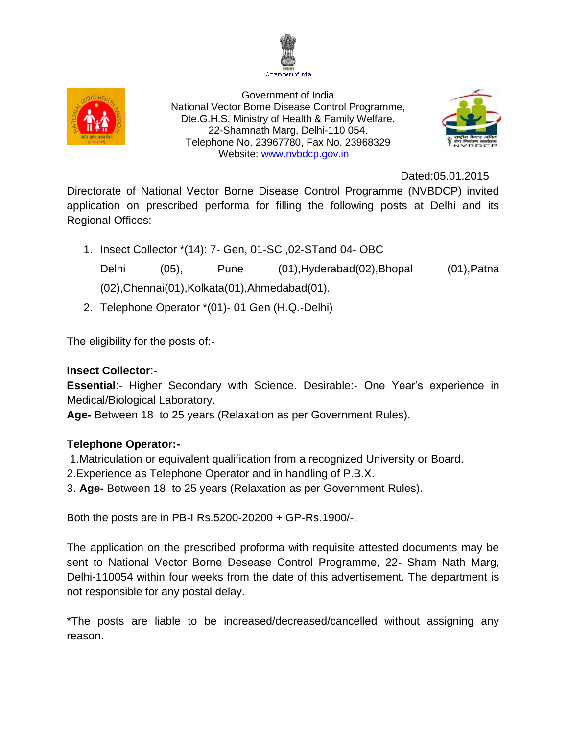



Government of India National Vector Borne Disease Control Programme, Dte.G.H.S, Ministry of Health & Family Welfare, 22-Shamnath Marg, Delhi-110 054. Telephone No. 23967780, Fax No. 23968329 Website: [www.nvbdcp.gov.in](http://www.nvbdcp.gov.in/)



Dated:05.01.2015

Directorate of National Vector Borne Disease Control Programme (NVBDCP) invited application on prescribed performa for filling the following posts at Delhi and its Regional Offices:

- 1. Insect Collector \*(14): 7- Gen, 01-SC ,02-STand 04- OBC Delhi (05), Pune (01),Hyderabad(02),Bhopal (01),Patna (02),Chennai(01),Kolkata(01),Ahmedabad(01).
- 2. Telephone Operator \*(01)- 01 Gen (H.Q.-Delhi)

The eligibility for the posts of:-

## **Insect Collector**:-

**Essential**:- Higher Secondary with Science. Desirable:- One Year's experience in Medical/Biological Laboratory.

**Age-** Between 18 to 25 years (Relaxation as per Government Rules).

# **Telephone Operator:-**

1.Matriculation or equivalent qualification from a recognized University or Board.

2.Experience as Telephone Operator and in handling of P.B.X.

3. **Age-** Between 18 to 25 years (Relaxation as per Government Rules).

Both the posts are in PB-I Rs.5200-20200 + GP-Rs.1900/-.

The application on the prescribed proforma with requisite attested documents may be sent to National Vector Borne Desease Control Programme, 22- Sham Nath Marg, Delhi-110054 within four weeks from the date of this advertisement. The department is not responsible for any postal delay.

\*The posts are liable to be increased/decreased/cancelled without assigning any reason.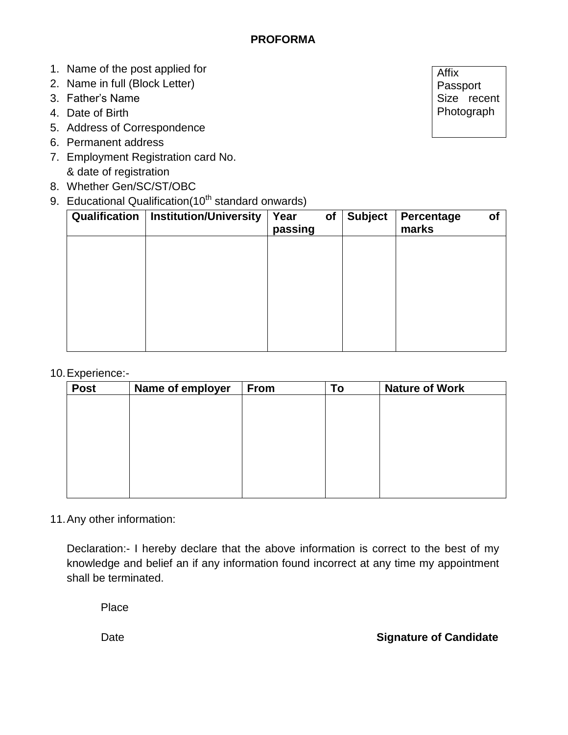- 1. Name of the post applied for
- 2. Name in full (Block Letter)
- 3. Father's Name
- 4. Date of Birth
- 5. Address of Correspondence
- 6. Permanent address
- 7. Employment Registration card No. & date of registration
- 8. Whether Gen/SC/ST/OBC
- 9. Educational Qualification(10<sup>th</sup> standard onwards)

| Qualification | <b>Institution/University</b> | Year<br><b>of</b><br>passing | <b>Subject</b> | Percentage<br>marks | Οf |
|---------------|-------------------------------|------------------------------|----------------|---------------------|----|
|               |                               |                              |                |                     |    |
|               |                               |                              |                |                     |    |
|               |                               |                              |                |                     |    |
|               |                               |                              |                |                     |    |
|               |                               |                              |                |                     |    |

### 10.Experience:-

| <b>Post</b> | Name of employer | From | To | <b>Nature of Work</b> |
|-------------|------------------|------|----|-----------------------|
|             |                  |      |    |                       |
|             |                  |      |    |                       |
|             |                  |      |    |                       |
|             |                  |      |    |                       |
|             |                  |      |    |                       |
|             |                  |      |    |                       |
|             |                  |      |    |                       |
|             |                  |      |    |                       |
|             |                  |      |    |                       |

# 11.Any other information:

Declaration:- I hereby declare that the above information is correct to the best of my knowledge and belief an if any information found incorrect at any time my appointment shall be terminated.

Place

### Date **Signature of Candidate**

Affix Passport Size recent Photograph